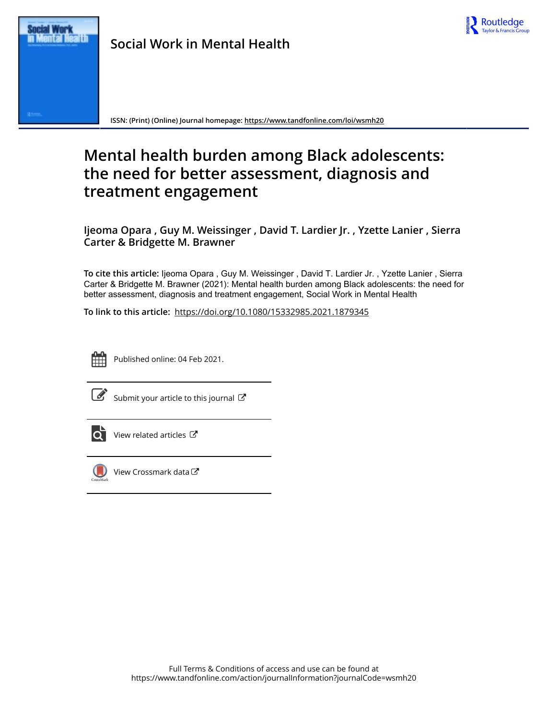



**ISSN: (Print) (Online) Journal homepage:<https://www.tandfonline.com/loi/wsmh20>**

# **Mental health burden among Black adolescents: the need for better assessment, diagnosis and treatment engagement**

**Ijeoma Opara , Guy M. Weissinger , David T. Lardier Jr. , Yzette Lanier , Sierra Carter & Bridgette M. Brawner**

**To cite this article:** Ijeoma Opara , Guy M. Weissinger , David T. Lardier Jr. , Yzette Lanier , Sierra Carter & Bridgette M. Brawner (2021): Mental health burden among Black adolescents: the need for better assessment, diagnosis and treatment engagement, Social Work in Mental Health

**To link to this article:** <https://doi.org/10.1080/15332985.2021.1879345>



Published online: 04 Feb 2021.



 $\overline{\mathscr{L}}$  [Submit your article to this journal](https://www.tandfonline.com/action/authorSubmission?journalCode=wsmh20&show=instructions)  $\mathbb{Z}$ 



 $\overrightarrow{Q}$  [View related articles](https://www.tandfonline.com/doi/mlt/10.1080/15332985.2021.1879345)  $\overrightarrow{C}$ 



 $\bigcirc$  [View Crossmark data](http://crossmark.crossref.org/dialog/?doi=10.1080/15332985.2021.1879345&domain=pdf&date_stamp=2021-02-04) $\mathbb{Z}$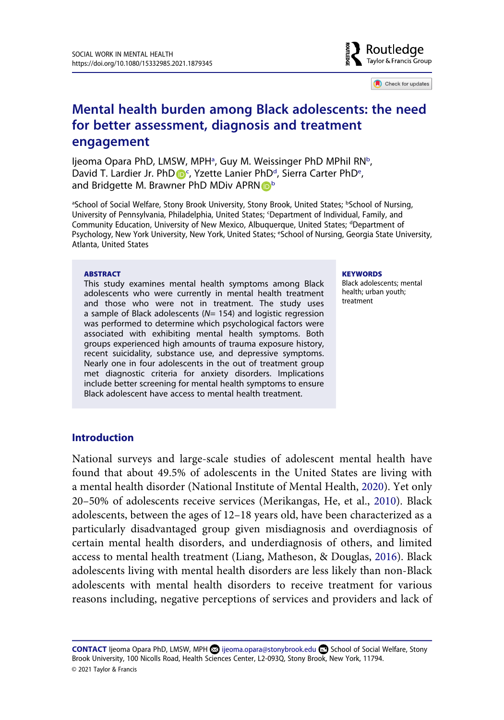

Check for updates

# **Mental health burden among Black adolescents: the need for better assessment, diagnosis and treatment engagement**

ljeom[a](#page-1-0) Opara PhD, LMSW, MPH<sup>a</sup>, Guy M. Weissinger PhD MPhil RN<sup>b</sup>, [D](http://orcid.org/0000-0002-7236-2049)avid T. Lardier Jr. PhD D<sup>[c](#page-1-1)</sup>, Yz[e](#page-1-3)tte Lanier PhD<sup>d</sup>, Sierra Carter PhD<sup>e</sup>, and Bridgette M. Brawner PhD MDiv APR[N](http://orcid.org/0000-0003-2707-3210) **D**<sup>[b](#page-1-0)</sup>

<span id="page-1-3"></span><span id="page-1-2"></span><span id="page-1-1"></span><span id="page-1-0"></span><sup>a</sup>School of Social Welfare, Stony Brook University, Stony Brook, United States; bSchool of Nursing, University of Pennsylvania, Philadelphia, United States; <sup>c</sup>Department of Individual, Family, and Community Education, University of New Mexico, Albuquerque, United States; dDepartment of Psychology, New York University, New York, United States; <sup>e</sup>School of Nursing, Georgia State University, Atlanta, United States

#### **ABSTRACT**

This study examines mental health symptoms among Black adolescents who were currently in mental health treatment and those who were not in treatment. The study uses a sample of Black adolescents (*N*= 154) and logistic regression was performed to determine which psychological factors were associated with exhibiting mental health symptoms. Both groups experienced high amounts of trauma exposure history, recent suicidality, substance use, and depressive symptoms. Nearly one in four adolescents in the out of treatment group met diagnostic criteria for anxiety disorders. Implications include better screening for mental health symptoms to ensure Black adolescent have access to mental health treatment.

#### **KEYWORDS**

Black adolescents; mental health; urban youth; treatment

# **Introduction**

<span id="page-1-6"></span><span id="page-1-5"></span><span id="page-1-4"></span>National surveys and large-scale studies of adolescent mental health have found that about 49.5% of adolescents in the United States are living with a mental health disorder (National Institute of Mental Health, [2020\)](#page-16-0). Yet only 20–50% of adolescents receive services (Merikangas, He, et al., [2010](#page-16-1)). Black adolescents, between the ages of 12–18 years old, have been characterized as a particularly disadvantaged group given misdiagnosis and overdiagnosis of certain mental health disorders, and underdiagnosis of others, and limited access to mental health treatment (Liang, Matheson, & Douglas, [2016\)](#page-15-0). Black adolescents living with mental health disorders are less likely than non-Black adolescents with mental health disorders to receive treatment for various reasons including, negative perceptions of services and providers and lack of

CONTACT Ijeoma Opara PhD, LMSW, MPH **o** ijeoma.opara@stonybrook.edu **□** School of Social Welfare, Stony Brook University, 100 Nicolls Road, Health Sciences Center, L2-093Q, Stony Brook, New York, 11794. © 2021 Taylor & Francis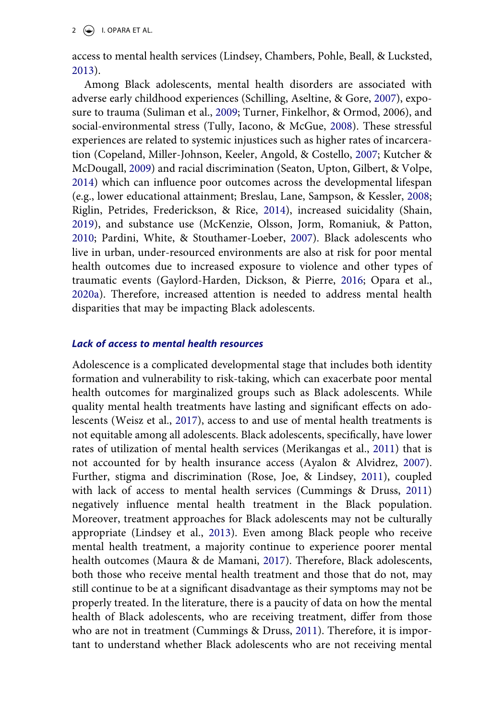$2 \left( \frac{1}{2} \right)$  I. OPARA ET AL.

access to mental health services (Lindsey, Chambers, Pohle, Beall, & Lucksted, [2013](#page-15-1)).

<span id="page-2-15"></span><span id="page-2-14"></span><span id="page-2-13"></span><span id="page-2-11"></span><span id="page-2-5"></span><span id="page-2-2"></span><span id="page-2-1"></span>Among Black adolescents, mental health disorders are associated with adverse early childhood experiences (Schilling, Aseltine, & Gore, [2007](#page-16-2)), exposure to trauma (Suliman et al., [2009;](#page-17-0) Turner, Finkelhor, & Ormod, 2006), and social-environmental stress (Tully, Iacono, & McGue, [2008](#page-17-1)). These stressful experiences are related to systemic injustices such as higher rates of incarceration (Copeland, Miller-Johnson, Keeler, Angold, & Costello, [2007](#page-15-2); Kutcher & McDougall, [2009](#page-15-3)) and racial discrimination (Seaton, Upton, Gilbert, & Volpe, [2014](#page-16-3)) which can influence poor outcomes across the developmental lifespan (e.g., lower educational attainment; Breslau, Lane, Sampson, & Kessler, [2008](#page-14-0); Riglin, Petrides, Frederickson, & Rice, [2014\)](#page-16-4), increased suicidality (Shain, [2019](#page-16-5)), and substance use (McKenzie, Olsson, Jorm, Romaniuk, & Patton, [2010](#page-15-4); Pardini, White, & Stouthamer-Loeber, [2007\)](#page-16-6). Black adolescents who live in urban, under-resourced environments are also at risk for poor mental health outcomes due to increased exposure to violence and other types of traumatic events (Gaylord-Harden, Dickson, & Pierre, [2016](#page-15-5); Opara et al., [2020a](#page-16-7)). Therefore, increased attention is needed to address mental health disparities that may be impacting Black adolescents.

# <span id="page-2-10"></span><span id="page-2-8"></span><span id="page-2-4"></span>*Lack of access to mental health resources*

<span id="page-2-16"></span><span id="page-2-12"></span><span id="page-2-9"></span><span id="page-2-7"></span><span id="page-2-6"></span><span id="page-2-3"></span><span id="page-2-0"></span>Adolescence is a complicated developmental stage that includes both identity formation and vulnerability to risk-taking, which can exacerbate poor mental health outcomes for marginalized groups such as Black adolescents. While quality mental health treatments have lasting and significant effects on adolescents (Weisz et al., [2017](#page-17-2)), access to and use of mental health treatments is not equitable among all adolescents. Black adolescents, specifically, have lower rates of utilization of mental health services (Merikangas et al., [2011](#page-16-8)) that is not accounted for by health insurance access (Ayalon & Alvidrez, [2007](#page-14-1)). Further, stigma and discrimination (Rose, Joe, & Lindsey, [2011](#page-16-9)), coupled with lack of access to mental health services (Cummings & Druss, [2011\)](#page-15-6) negatively influence mental health treatment in the Black population. Moreover, treatment approaches for Black adolescents may not be culturally appropriate (Lindsey et al., [2013\)](#page-15-1). Even among Black people who receive mental health treatment, a majority continue to experience poorer mental health outcomes (Maura & de Mamani, [2017](#page-15-7)). Therefore, Black adolescents, both those who receive mental health treatment and those that do not, may still continue to be at a significant disadvantage as their symptoms may not be properly treated. In the literature, there is a paucity of data on how the mental health of Black adolescents, who are receiving treatment, differ from those who are not in treatment (Cummings & Druss, [2011\)](#page-15-6). Therefore, it is important to understand whether Black adolescents who are not receiving mental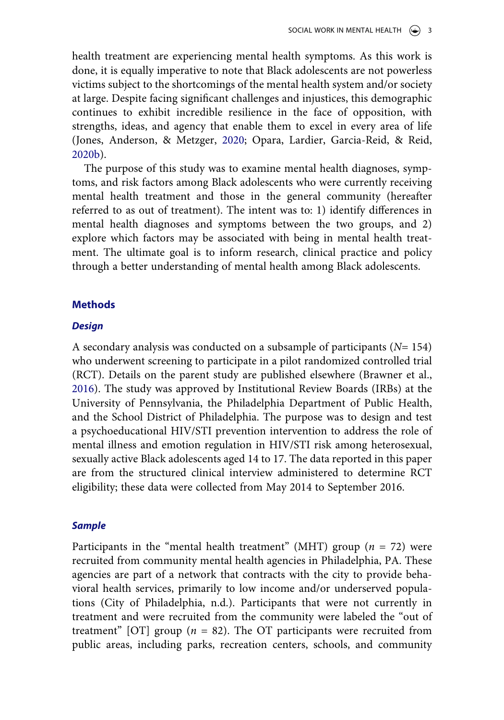health treatment are experiencing mental health symptoms. As this work is done, it is equally imperative to note that Black adolescents are not powerless victims subject to the shortcomings of the mental health system and/or society at large. Despite facing significant challenges and injustices, this demographic continues to exhibit incredible resilience in the face of opposition, with strengths, ideas, and agency that enable them to excel in every area of life (Jones, Anderson, & Metzger, [2020](#page-15-8); Opara, Lardier, Garcia-Reid, & Reid, [2020b\)](#page-16-10).

<span id="page-3-1"></span>The purpose of this study was to examine mental health diagnoses, symptoms, and risk factors among Black adolescents who were currently receiving mental health treatment and those in the general community (hereafter referred to as out of treatment). The intent was to: 1) identify differences in mental health diagnoses and symptoms between the two groups, and 2) explore which factors may be associated with being in mental health treatment. The ultimate goal is to inform research, clinical practice and policy through a better understanding of mental health among Black adolescents.

# **Methods**

### *Design*

<span id="page-3-0"></span>A secondary analysis was conducted on a subsample of participants (*N*= 154) who underwent screening to participate in a pilot randomized controlled trial (RCT). Details on the parent study are published elsewhere (Brawner et al., [2016](#page-14-2)). The study was approved by Institutional Review Boards (IRBs) at the University of Pennsylvania, the Philadelphia Department of Public Health, and the School District of Philadelphia. The purpose was to design and test a psychoeducational HIV/STI prevention intervention to address the role of mental illness and emotion regulation in HIV/STI risk among heterosexual, sexually active Black adolescents aged 14 to 17. The data reported in this paper are from the structured clinical interview administered to determine RCT eligibility; these data were collected from May 2014 to September 2016.

## *Sample*

Participants in the "mental health treatment" (MHT) group (*n* = 72) were recruited from community mental health agencies in Philadelphia, PA. These agencies are part of a network that contracts with the city to provide behavioral health services, primarily to low income and/or underserved populations (City of Philadelphia, n.d.). Participants that were not currently in treatment and were recruited from the community were labeled the "out of treatment" [OT] group  $(n = 82)$ . The OT participants were recruited from public areas, including parks, recreation centers, schools, and community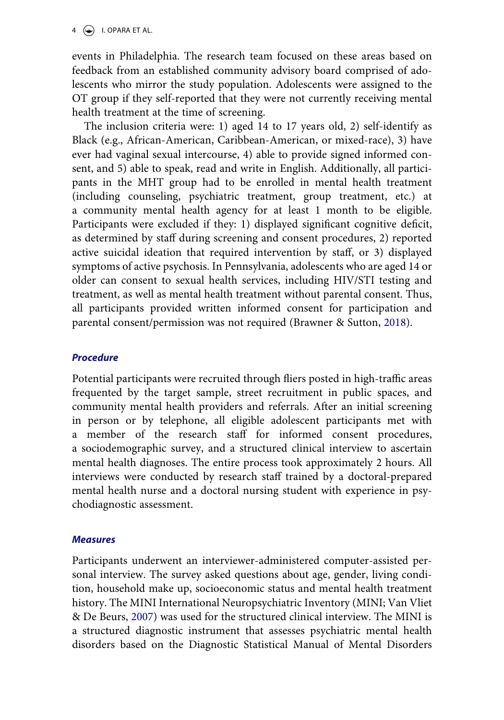$4 \quad \circledast$  I. OPARA ET AL.

events in Philadelphia. The research team focused on these areas based on feedback from an established community advisory board comprised of adolescents who mirror the study population. Adolescents were assigned to the OT group if they self-reported that they were not currently receiving mental health treatment at the time of screening.

The inclusion criteria were: 1) aged 14 to 17 years old, 2) self-identify as Black (e.g., African-American, Caribbean-American, or mixed-race), 3) have ever had vaginal sexual intercourse, 4) able to provide signed informed consent, and 5) able to speak, read and write in English. Additionally, all participants in the MHT group had to be enrolled in mental health treatment (including counseling, psychiatric treatment, group treatment, etc.) at a community mental health agency for at least 1 month to be eligible. Participants were excluded if they: 1) displayed significant cognitive deficit, as determined by staff during screening and consent procedures, 2) reported active suicidal ideation that required intervention by staff, or 3) displayed symptoms of active psychosis. In Pennsylvania, adolescents who are aged 14 or older can consent to sexual health services, including HIV/STI testing and treatment, as well as mental health treatment without parental consent. Thus, all participants provided written informed consent for participation and parental consent/permission was not required (Brawner & Sutton, [2018](#page-14-3)).

# <span id="page-4-0"></span>*Procedure*

Potential participants were recruited through fliers posted in high-traffic areas frequented by the target sample, street recruitment in public spaces, and community mental health providers and referrals. After an initial screening in person or by telephone, all eligible adolescent participants met with a member of the research staff for informed consent procedures, a sociodemographic survey, and a structured clinical interview to ascertain mental health diagnoses. The entire process took approximately 2 hours. All interviews were conducted by research staff trained by a doctoral-prepared mental health nurse and a doctoral nursing student with experience in psychodiagnostic assessment.

# *Measures*

<span id="page-4-1"></span>Participants underwent an interviewer-administered computer-assisted personal interview. The survey asked questions about age, gender, living condition, household make up, socioeconomic status and mental health treatment history. The MINI International Neuropsychiatric Inventory (MINI; Van Vliet & De Beurs, [2007](#page-17-3)) was used for the structured clinical interview. The MINI is a structured diagnostic instrument that assesses psychiatric mental health disorders based on the Diagnostic Statistical Manual of Mental Disorders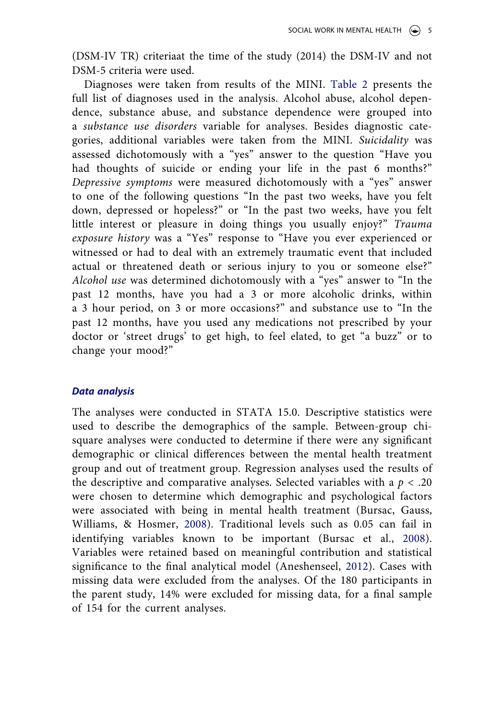(DSM-IV TR) criteriaat the time of the study (2014) the DSM-IV and not DSM-5 criteria were used.

Diagnoses were taken from results of the MINI. [Table 2](#page-7-0) presents the full list of diagnoses used in the analysis. Alcohol abuse, alcohol dependence, substance abuse, and substance dependence were grouped into a *substance use disorders* variable for analyses. Besides diagnostic categories, additional variables were taken from the MINI. *Suicidality* was assessed dichotomously with a "yes" answer to the question "Have you had thoughts of suicide or ending your life in the past 6 months?" *Depressive symptoms* were measured dichotomously with a "yes" answer to one of the following questions "In the past two weeks, have you felt down, depressed or hopeless?" or "In the past two weeks, have you felt little interest or pleasure in doing things you usually enjoy?" *Trauma exposure history* was a "Yes" response to "Have you ever experienced or witnessed or had to deal with an extremely traumatic event that included actual or threatened death or serious injury to you or someone else?" *Alcohol use* was determined dichotomously with a "yes" answer to "In the past 12 months, have you had a 3 or more alcoholic drinks, within a 3 hour period, on 3 or more occasions?" and substance use to "In the past 12 months, have you used any medications not prescribed by your doctor or 'street drugs' to get high, to feel elated, to get "a buzz" or to change your mood?"

# *Data analysis*

<span id="page-5-1"></span><span id="page-5-0"></span>The analyses were conducted in STATA 15.0. Descriptive statistics were used to describe the demographics of the sample. Between-group chisquare analyses were conducted to determine if there were any significant demographic or clinical differences between the mental health treatment group and out of treatment group. Regression analyses used the results of the descriptive and comparative analyses. Selected variables with a  $p < .20$ were chosen to determine which demographic and psychological factors were associated with being in mental health treatment (Bursac, Gauss, Williams, & Hosmer, [2008\)](#page-14-4). Traditional levels such as 0.05 can fail in identifying variables known to be important (Bursac et al., [2008](#page-14-4)). Variables were retained based on meaningful contribution and statistical significance to the final analytical model (Aneshenseel, [2012](#page-14-5)). Cases with missing data were excluded from the analyses. Of the 180 participants in the parent study, 14% were excluded for missing data, for a final sample of 154 for the current analyses.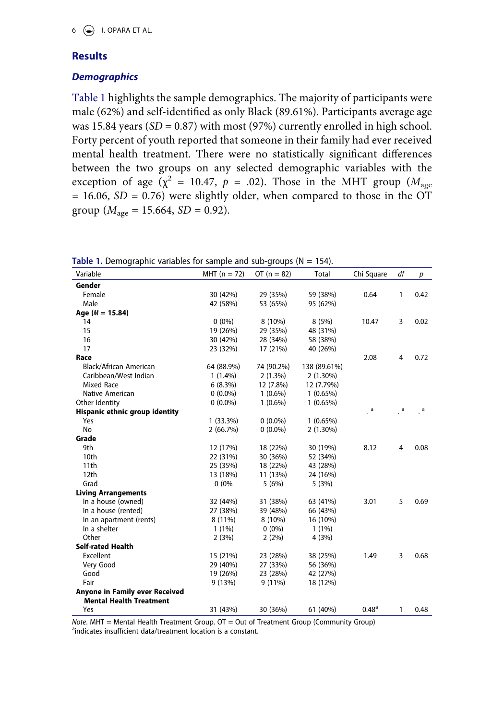# **Results**

# *Demographics*

[Table 1](#page-6-0) highlights the sample demographics. The majority of participants were male (62%) and self-identified as only Black (89.61%). Participants average age was 15.84 years (*SD* = 0.87) with most (97%) currently enrolled in high school. Forty percent of youth reported that someone in their family had ever received mental health treatment. There were no statistically significant differences between the two groups on any selected demographic variables with the exception of age ( $\chi^2$  = 10.47,  $p$  = .02). Those in the MHT group ( $M_{\text{age}}$ )  $= 16.06$ , *SD* = 0.76) were slightly older, when compared to those in the OT group ( $M_{\text{age}} = 15.664$ , *SD* = 0.92).

| Variable                       | $MHT (n = 72)$ | OT $(n = 82)$ | Total        | Chi Square        | df | р    |
|--------------------------------|----------------|---------------|--------------|-------------------|----|------|
| Gender                         |                |               |              |                   |    |      |
| Female                         | 30 (42%)       | 29 (35%)      | 59 (38%)     | 0.64              | 1  | 0.42 |
| Male                           | 42 (58%)       | 53 (65%)      | 95 (62%)     |                   |    |      |
| Age ( $M = 15.84$ )            |                |               |              |                   |    |      |
| 14                             | $0(0\%)$       | 8 (10%)       | 8(5%)        | 10.47             | 3  | 0.02 |
| 15                             | 19 (26%)       | 29 (35%)      | 48 (31%)     |                   |    |      |
| 16                             | 30 (42%)       | 28 (34%)      | 58 (38%)     |                   |    |      |
| 17                             | 23 (32%)       | 17 (21%)      | 40 (26%)     |                   |    |      |
| Race                           |                |               |              | 2.08              | 4  | 0.72 |
| Black/African American         | 64 (88.9%)     | 74 (90.2%)    | 138 (89.61%) |                   |    |      |
| Caribbean/West Indian          | $1(1.4\%)$     | 2(1.3%)       | $2(1.30\%)$  |                   |    |      |
| Mixed Race                     | 6(8.3%)        | 12 (7.8%)     | 12 (7.79%)   |                   |    |      |
| Native American                | $0(0.0\%)$     | $1(0.6\%)$    | 1(0.65%)     |                   |    |      |
| Other Identity                 | $0(0.0\%)$     | $1(0.6\%)$    | 1(0.65%)     |                   |    |      |
| Hispanic ethnic group identity |                |               |              | a                 | a  | a    |
| Yes                            | $1(33.3\%)$    | $0(0.0\%)$    | 1(0.65%)     |                   |    |      |
| No                             | 2(66.7%)       | $0(0.0\%)$    | $2(1.30\%)$  |                   |    |      |
| Grade                          |                |               |              |                   |    |      |
| 9th                            | 12 (17%)       | 18 (22%)      | 30 (19%)     | 8.12              | 4  | 0.08 |
| 10th                           | 22 (31%)       | 30 (36%)      | 52 (34%)     |                   |    |      |
| 11th                           | 25 (35%)       | 18 (22%)      | 43 (28%)     |                   |    |      |
| 12 <sub>th</sub>               | 13 (18%)       | 11 (13%)      | 24 (16%)     |                   |    |      |
| Grad                           | 0(0%           | 5(6%)         | 5(3%)        |                   |    |      |
| <b>Living Arrangements</b>     |                |               |              |                   |    |      |
| In a house (owned)             | 32 (44%)       | 31 (38%)      | 63 (41%)     | 3.01              | 5  | 0.69 |
| In a house (rented)            | 27 (38%)       | 39 (48%)      | 66 (43%)     |                   |    |      |
| In an apartment (rents)        | 8 (11%)        | 8(10%)        | 16 (10%)     |                   |    |      |
| In a shelter                   | $1(1\%)$       | $0(0\%)$      | $1(1\%)$     |                   |    |      |
| Other                          | 2(3%)          | 2(2%)         | 4(3%)        |                   |    |      |
| <b>Self-rated Health</b>       |                |               |              |                   |    |      |
| Excellent                      | 15 (21%)       | 23 (28%)      | 38 (25%)     | 1.49              | 3  | 0.68 |
| Very Good                      | 29 (40%)       | 27 (33%)      | 56 (36%)     |                   |    |      |
| Good                           | 19 (26%)       | 23 (28%)      | 42 (27%)     |                   |    |      |
| Fair                           | 9(13%)         | $9(11\%)$     | 18 (12%)     |                   |    |      |
| Anyone in Family ever Received |                |               |              |                   |    |      |
| <b>Mental Health Treatment</b> |                |               |              |                   |    |      |
| Yes                            | 31 (43%)       | 30 (36%)      | 61 (40%)     | 0.48 <sup>a</sup> | 1  | 0.48 |

<span id="page-6-0"></span>**Table 1.** Demographic variables for sample and sub-groups ( $N = 154$ ).

*Note*. MHT = Mental Health Treatment Group. OT = Out of Treatment Group (Community Group) aindicates insufficient data/treatment location is a constant.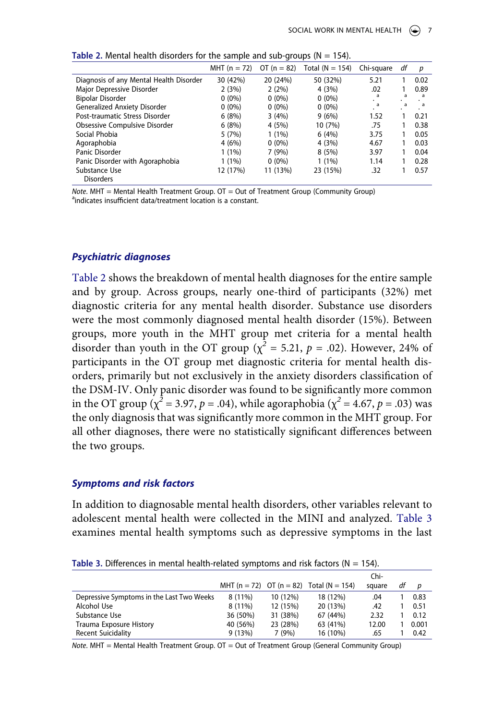|                                         | MHT $(n = 72)$ | OT $(n = 82)$ | Total $(N = 154)$ | Chi-square | df | р    |
|-----------------------------------------|----------------|---------------|-------------------|------------|----|------|
| Diagnosis of any Mental Health Disorder | 30 (42%)       | 20 (24%)      | 50 (32%)          | 5.21       |    | 0.02 |
| Major Depressive Disorder               | 2(3%)          | 2(2%)         | 4(3%)             | .02        |    | 0.89 |
| <b>Bipolar Disorder</b>                 | $0(0\%)$       | $0(0\%)$      | $0(0\%)$          | a          | a  | a    |
| Generalized Anxiety Disorder            | $0(0\%)$       | $0(0\%)$      | $0(0\%)$          | a          | a  | a    |
| Post-traumatic Stress Disorder          | 6(8%)          | 3(4%)         | 9(6%)             | 1.52       |    | 0.21 |
| Obsessive Compulsive Disorder           | 6(8%)          | 4(5%)         | 10 (7%)           | .75        |    | 0.38 |
| Social Phobia                           | 5(7%)          | $1(1\%)$      | 6(4%)             | 3.75       |    | 0.05 |
| Agoraphobia                             | 4(6%)          | $0(0\%)$      | 4(3%)             | 4.67       |    | 0.03 |
| Panic Disorder                          | $1(1\%)$       | 7(9%)         | 8(5%)             | 3.97       |    | 0.04 |
| Panic Disorder with Agoraphobia         | $1(1\%)$       | $0(0\%)$      | $1(1\%)$          | 1.14       |    | 0.28 |
| Substance Use                           | 12 (17%)       | 11 (13%)      | 23 (15%)          | .32        |    | 0.57 |
| Disorders                               |                |               |                   |            |    |      |

<span id="page-7-0"></span>**Table 2.** Mental health disorders for the sample and sub-groups ( $N = 154$ ).

*Note*. MHT = Mental Health Treatment Group. OT = Out of Treatment Group (Community Group) <sup>a</sup>indicates insufficient data/treatment location is a constant.

## *Psychiatric diagnoses*

[Table 2](#page-7-0) shows the breakdown of mental health diagnoses for the entire sample and by group. Across groups, nearly one-third of participants (32%) met diagnostic criteria for any mental health disorder. Substance use disorders were the most commonly diagnosed mental health disorder (15%). Between groups, more youth in the MHT group met criteria for a mental health disorder than youth in the OT group ( $\chi^2$  = 5.21, *p* = .02). However, 24% of participants in the OT group met diagnostic criteria for mental health disorders, primarily but not exclusively in the anxiety disorders classification of the DSM-IV. Only panic disorder was found to be significantly more common in the OT group ( $\chi^2$  = 3.97, *p* = .04), while agoraphobia ( $\chi^2$  = 4.67, *p* = .03) was the only diagnosis that was significantly more common in the MHT group. For all other diagnoses, there were no statistically significant differences between the two groups.

### *Symptoms and risk factors*

In addition to diagnosable mental health disorders, other variables relevant to adolescent mental health were collected in the MINI and analyzed. [Table 3](#page-7-1) examines mental health symptoms such as depressive symptoms in the last

<span id="page-7-1"></span>

|                                           |           |          |                                          | Chi-   |    |       |
|-------------------------------------------|-----------|----------|------------------------------------------|--------|----|-------|
|                                           |           |          | MHT (n = 72) OT (n = 82) Total (N = 154) | square | df | D     |
| Depressive Symptoms in the Last Two Weeks | $8(11\%)$ | 10 (12%) | 18 (12%)                                 | .04    |    | 0.83  |
| Alcohol Use                               | $8(11\%)$ | 12 (15%) | 20 (13%)                                 | .42    |    | 0.51  |
| Substance Use                             | 36 (50%)  | 31 (38%) | 67 (44%)                                 | 2.32   |    | 0.12  |
| Trauma Exposure History                   | 40 (56%)  | 23 (28%) | 63 (41%)                                 | 12.00  |    | 0.001 |
| <b>Recent Suicidality</b>                 | 9(13%)    | 7 (9%)   | 16 (10%)                                 | .65    |    | 0.42  |

*Note*. MHT = Mental Health Treatment Group. OT = Out of Treatment Group (General Community Group)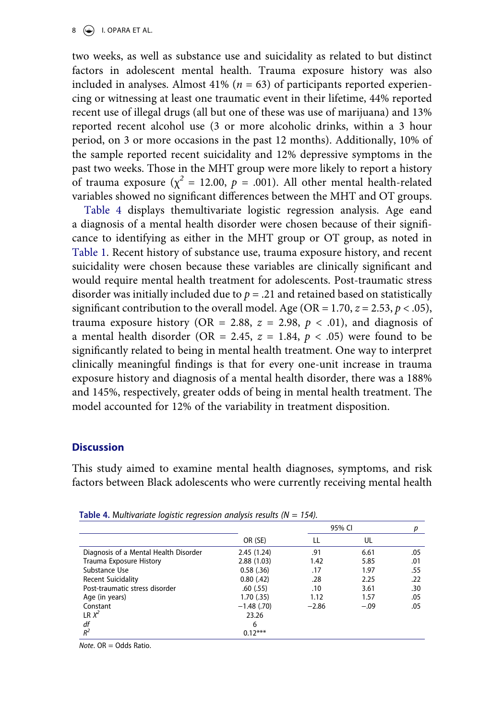# $8 \quad (*)$  I. OPARA ET AL.

two weeks, as well as substance use and suicidality as related to but distinct factors in adolescent mental health. Trauma exposure history was also included in analyses. Almost  $41\%$  ( $n = 63$ ) of participants reported experiencing or witnessing at least one traumatic event in their lifetime, 44% reported recent use of illegal drugs (all but one of these was use of marijuana) and 13% reported recent alcohol use (3 or more alcoholic drinks, within a 3 hour period, on 3 or more occasions in the past 12 months). Additionally, 10% of the sample reported recent suicidality and 12% depressive symptoms in the past two weeks. Those in the MHT group were more likely to report a history of trauma exposure ( $\chi^2$  = 12.00,  $p$  = .001). All other mental health-related variables showed no significant differences between the MHT and OT groups.

[Table 4](#page-8-0) displays themultivariate logistic regression analysis. Age eand a diagnosis of a mental health disorder were chosen because of their significance to identifying as either in the MHT group or OT group, as noted in [Table 1](#page-6-0). Recent history of substance use, trauma exposure history, and recent suicidality were chosen because these variables are clinically significant and would require mental health treatment for adolescents. Post-traumatic stress disorder was initially included due to  $p = .21$  and retained based on statistically significant contribution to the overall model. Age (OR =  $1.70$ ,  $z = 2.53$ ,  $p < .05$ ), trauma exposure history (OR = 2.88,  $z = 2.98$ ,  $p < .01$ ), and diagnosis of a mental health disorder (OR = 2.45,  $z = 1.84$ ,  $p < .05$ ) were found to be significantly related to being in mental health treatment. One way to interpret clinically meaningful findings is that for every one-unit increase in trauma exposure history and diagnosis of a mental health disorder, there was a 188% and 145%, respectively, greater odds of being in mental health treatment. The model accounted for 12% of the variability in treatment disposition.

# **Discussion**

This study aimed to examine mental health diagnoses, symptoms, and risk factors between Black adolescents who were currently receiving mental health

|                                       |               |         | 95% CI |     |
|---------------------------------------|---------------|---------|--------|-----|
|                                       | OR (SE)       |         | UL     |     |
| Diagnosis of a Mental Health Disorder | 2.45(1.24)    | .91     | 6.61   | .05 |
| Trauma Exposure History               | 2.88(1.03)    | 1.42    | 5.85   | .01 |
| Substance Use                         | 0.58(0.36)    | .17     | 1.97   | .55 |
| <b>Recent Suicidality</b>             | 0.80(42)      | .28     | 2.25   | .22 |
| Post-traumatic stress disorder        | .60(.55)      | .10     | 3.61   | .30 |
| Age (in years)                        | 1.70(0.35)    | 1.12    | 1.57   | .05 |
| Constant                              | $-1.48$ (.70) | $-2.86$ | $-.09$ | .05 |
| $LR X^2$                              | 23.26         |         |        |     |
| df                                    | 6             |         |        |     |
| $R^2$                                 | $0.12***$     |         |        |     |

<span id="page-8-0"></span>**Table 4.** M*ultivariate logistic regression analysis results (N = 154).*

*Note*. OR = Odds Ratio.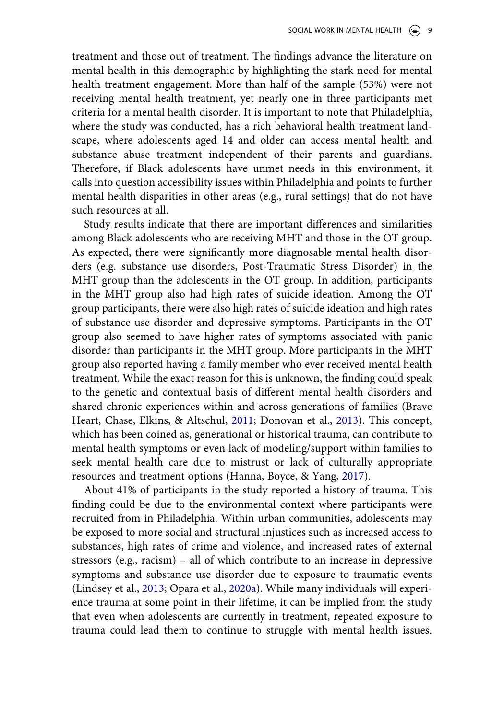treatment and those out of treatment. The findings advance the literature on mental health in this demographic by highlighting the stark need for mental health treatment engagement. More than half of the sample (53%) were not receiving mental health treatment, yet nearly one in three participants met criteria for a mental health disorder. It is important to note that Philadelphia, where the study was conducted, has a rich behavioral health treatment landscape, where adolescents aged 14 and older can access mental health and substance abuse treatment independent of their parents and guardians. Therefore, if Black adolescents have unmet needs in this environment, it calls into question accessibility issues within Philadelphia and points to further mental health disparities in other areas (e.g., rural settings) that do not have such resources at all.

Study results indicate that there are important differences and similarities among Black adolescents who are receiving MHT and those in the OT group. As expected, there were significantly more diagnosable mental health disorders (e.g. substance use disorders, Post-Traumatic Stress Disorder) in the MHT group than the adolescents in the OT group. In addition, participants in the MHT group also had high rates of suicide ideation. Among the OT group participants, there were also high rates of suicide ideation and high rates of substance use disorder and depressive symptoms. Participants in the OT group also seemed to have higher rates of symptoms associated with panic disorder than participants in the MHT group. More participants in the MHT group also reported having a family member who ever received mental health treatment. While the exact reason for this is unknown, the finding could speak to the genetic and contextual basis of different mental health disorders and shared chronic experiences within and across generations of families (Brave Heart, Chase, Elkins, & Altschul, [2011;](#page-14-6) Donovan et al., [2013](#page-15-9)). This concept, which has been coined as, generational or historical trauma, can contribute to mental health symptoms or even lack of modeling/support within families to seek mental health care due to mistrust or lack of culturally appropriate resources and treatment options (Hanna, Boyce, & Yang, [2017](#page-15-10)).

<span id="page-9-1"></span><span id="page-9-0"></span>About 41% of participants in the study reported a history of trauma. This finding could be due to the environmental context where participants were recruited from in Philadelphia. Within urban communities, adolescents may be exposed to more social and structural injustices such as increased access to substances, high rates of crime and violence, and increased rates of external stressors (e.g., racism) – all of which contribute to an increase in depressive symptoms and substance use disorder due to exposure to traumatic events (Lindsey et al., [2013](#page-15-1); Opara et al., [2020a](#page-16-7)). While many individuals will experience trauma at some point in their lifetime, it can be implied from the study that even when adolescents are currently in treatment, repeated exposure to trauma could lead them to continue to struggle with mental health issues.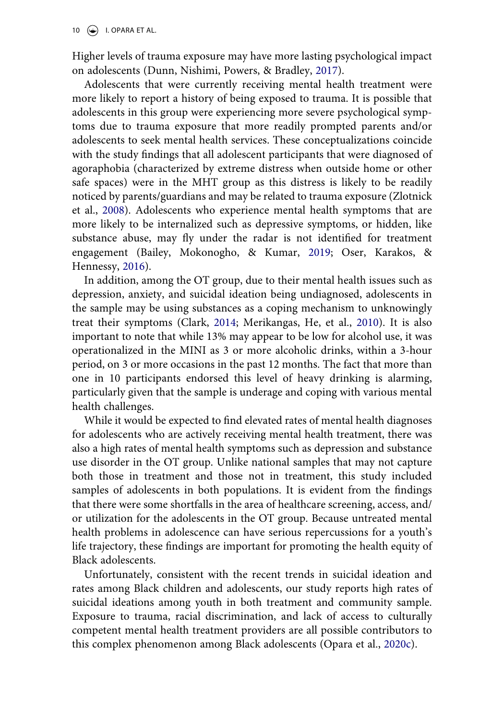<span id="page-10-2"></span>Higher levels of trauma exposure may have more lasting psychological impact on adolescents (Dunn, Nishimi, Powers, & Bradley, [2017\)](#page-15-11).

Adolescents that were currently receiving mental health treatment were more likely to report a history of being exposed to trauma. It is possible that adolescents in this group were experiencing more severe psychological symptoms due to trauma exposure that more readily prompted parents and/or adolescents to seek mental health services. These conceptualizations coincide with the study findings that all adolescent participants that were diagnosed of agoraphobia (characterized by extreme distress when outside home or other safe spaces) were in the MHT group as this distress is likely to be readily noticed by parents/guardians and may be related to trauma exposure (Zlotnick et al., [2008](#page-17-4)). Adolescents who experience mental health symptoms that are more likely to be internalized such as depressive symptoms, or hidden, like substance abuse, may fly under the radar is not identified for treatment engagement (Bailey, Mokonogho, & Kumar, [2019;](#page-14-7) Oser, Karakos, & Hennessy, [2016\)](#page-16-11).

<span id="page-10-5"></span><span id="page-10-4"></span><span id="page-10-1"></span><span id="page-10-0"></span>In addition, among the OT group, due to their mental health issues such as depression, anxiety, and suicidal ideation being undiagnosed, adolescents in the sample may be using substances as a coping mechanism to unknowingly treat their symptoms (Clark, [2014;](#page-14-8) Merikangas, He, et al., [2010\)](#page-16-1). It is also important to note that while 13% may appear to be low for alcohol use, it was operationalized in the MINI as 3 or more alcoholic drinks, within a 3-hour period, on 3 or more occasions in the past 12 months. The fact that more than one in 10 participants endorsed this level of heavy drinking is alarming, particularly given that the sample is underage and coping with various mental health challenges.

While it would be expected to find elevated rates of mental health diagnoses for adolescents who are actively receiving mental health treatment, there was also a high rates of mental health symptoms such as depression and substance use disorder in the OT group. Unlike national samples that may not capture both those in treatment and those not in treatment, this study included samples of adolescents in both populations. It is evident from the findings that there were some shortfalls in the area of healthcare screening, access, and/ or utilization for the adolescents in the OT group. Because untreated mental health problems in adolescence can have serious repercussions for a youth's life trajectory, these findings are important for promoting the health equity of Black adolescents.

<span id="page-10-3"></span>Unfortunately, consistent with the recent trends in suicidal ideation and rates among Black children and adolescents, our study reports high rates of suicidal ideations among youth in both treatment and community sample. Exposure to trauma, racial discrimination, and lack of access to culturally competent mental health treatment providers are all possible contributors to this complex phenomenon among Black adolescents (Opara et al., [2020c\)](#page-16-12).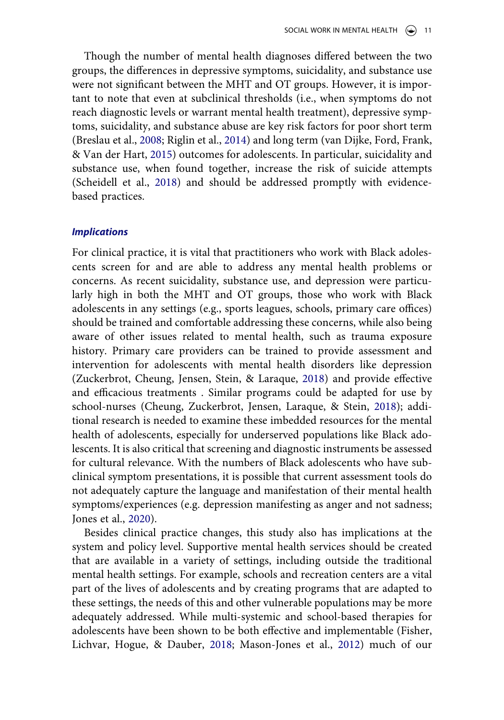Though the number of mental health diagnoses differed between the two groups, the differences in depressive symptoms, suicidality, and substance use were not significant between the MHT and OT groups. However, it is important to note that even at subclinical thresholds (i.e., when symptoms do not reach diagnostic levels or warrant mental health treatment), depressive symptoms, suicidality, and substance abuse are key risk factors for poor short term (Breslau et al., [2008;](#page-14-0) Riglin et al., [2014](#page-16-4)) and long term (van Dijke, Ford, Frank, & Van der Hart, [2015](#page-17-5)) outcomes for adolescents. In particular, suicidality and substance use, when found together, increase the risk of suicide attempts (Scheidell et al., [2018\)](#page-16-13) and should be addressed promptly with evidencebased practices.

# <span id="page-11-3"></span><span id="page-11-2"></span>*Implications*

<span id="page-11-4"></span>For clinical practice, it is vital that practitioners who work with Black adolescents screen for and are able to address any mental health problems or concerns. As recent suicidality, substance use, and depression were particularly high in both the MHT and OT groups, those who work with Black adolescents in any settings (e.g., sports leagues, schools, primary care offices) should be trained and comfortable addressing these concerns, while also being aware of other issues related to mental health, such as trauma exposure history. Primary care providers can be trained to provide assessment and intervention for adolescents with mental health disorders like depression (Zuckerbrot, Cheung, Jensen, Stein, & Laraque, [2018](#page-17-6)) and provide effective and efficacious treatments . Similar programs could be adapted for use by school-nurses (Cheung, Zuckerbrot, Jensen, Laraque, & Stein, [2018](#page-14-9)); additional research is needed to examine these imbedded resources for the mental health of adolescents, especially for underserved populations like Black adolescents. It is also critical that screening and diagnostic instruments be assessed for cultural relevance. With the numbers of Black adolescents who have subclinical symptom presentations, it is possible that current assessment tools do not adequately capture the language and manifestation of their mental health symptoms/experiences (e.g. depression manifesting as anger and not sadness; Jones et al., [2020](#page-15-8)).

<span id="page-11-1"></span><span id="page-11-0"></span>Besides clinical practice changes, this study also has implications at the system and policy level. Supportive mental health services should be created that are available in a variety of settings, including outside the traditional mental health settings. For example, schools and recreation centers are a vital part of the lives of adolescents and by creating programs that are adapted to these settings, the needs of this and other vulnerable populations may be more adequately addressed. While multi-systemic and school-based therapies for adolescents have been shown to be both effective and implementable (Fisher, Lichvar, Hogue, & Dauber, [2018;](#page-15-12) Mason-Jones et al., [2012](#page-15-13)) much of our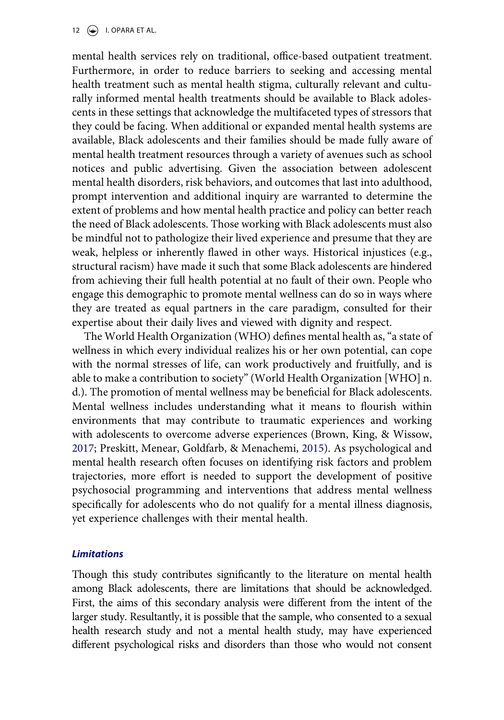12  $\left(\frac{1}{2}\right)$  I. OPARA ET AL.

mental health services rely on traditional, office-based outpatient treatment. Furthermore, in order to reduce barriers to seeking and accessing mental health treatment such as mental health stigma, culturally relevant and culturally informed mental health treatments should be available to Black adolescents in these settings that acknowledge the multifaceted types of stressors that they could be facing. When additional or expanded mental health systems are available, Black adolescents and their families should be made fully aware of mental health treatment resources through a variety of avenues such as school notices and public advertising. Given the association between adolescent mental health disorders, risk behaviors, and outcomes that last into adulthood, prompt intervention and additional inquiry are warranted to determine the extent of problems and how mental health practice and policy can better reach the need of Black adolescents. Those working with Black adolescents must also be mindful not to pathologize their lived experience and presume that they are weak, helpless or inherently flawed in other ways. Historical injustices (e.g., structural racism) have made it such that some Black adolescents are hindered from achieving their full health potential at no fault of their own. People who engage this demographic to promote mental wellness can do so in ways where they are treated as equal partners in the care paradigm, consulted for their expertise about their daily lives and viewed with dignity and respect.

<span id="page-12-1"></span><span id="page-12-0"></span>The World Health Organization (WHO) defines mental health as, "a state of wellness in which every individual realizes his or her own potential, can cope with the normal stresses of life, can work productively and fruitfully, and is able to make a contribution to society" (World Health Organization [WHO] n. d.). The promotion of mental wellness may be beneficial for Black adolescents. Mental wellness includes understanding what it means to flourish within environments that may contribute to traumatic experiences and working with adolescents to overcome adverse experiences (Brown, King, & Wissow, [2017](#page-14-10); Preskitt, Menear, Goldfarb, & Menachemi, [2015\)](#page-16-14). As psychological and mental health research often focuses on identifying risk factors and problem trajectories, more effort is needed to support the development of positive psychosocial programming and interventions that address mental wellness specifically for adolescents who do not qualify for a mental illness diagnosis, yet experience challenges with their mental health.

# *Limitations*

Though this study contributes significantly to the literature on mental health among Black adolescents, there are limitations that should be acknowledged. First, the aims of this secondary analysis were different from the intent of the larger study. Resultantly, it is possible that the sample, who consented to a sexual health research study and not a mental health study, may have experienced different psychological risks and disorders than those who would not consent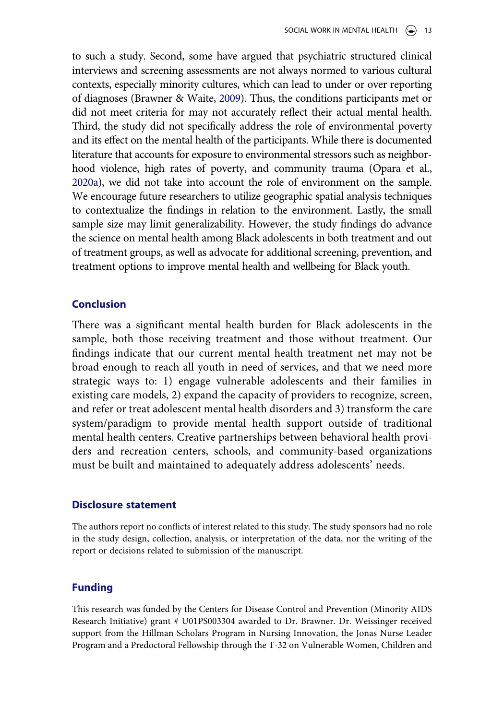<span id="page-13-0"></span>to such a study. Second, some have argued that psychiatric structured clinical interviews and screening assessments are not always normed to various cultural contexts, especially minority cultures, which can lead to under or over reporting of diagnoses (Brawner & Waite, [2009](#page-14-11)). Thus, the conditions participants met or did not meet criteria for may not accurately reflect their actual mental health. Third, the study did not specifically address the role of environmental poverty and its effect on the mental health of the participants. While there is documented literature that accounts for exposure to environmental stressors such as neighborhood violence, high rates of poverty, and community trauma (Opara et al., [2020a](#page-16-7)), we did not take into account the role of environment on the sample. We encourage future researchers to utilize geographic spatial analysis techniques to contextualize the findings in relation to the environment. Lastly, the small sample size may limit generalizability. However, the study findings do advance the science on mental health among Black adolescents in both treatment and out of treatment groups, as well as advocate for additional screening, prevention, and treatment options to improve mental health and wellbeing for Black youth.

# **Conclusion**

There was a significant mental health burden for Black adolescents in the sample, both those receiving treatment and those without treatment. Our findings indicate that our current mental health treatment net may not be broad enough to reach all youth in need of services, and that we need more strategic ways to: 1) engage vulnerable adolescents and their families in existing care models, 2) expand the capacity of providers to recognize, screen, and refer or treat adolescent mental health disorders and 3) transform the care system/paradigm to provide mental health support outside of traditional mental health centers. Creative partnerships between behavioral health providers and recreation centers, schools, and community-based organizations must be built and maintained to adequately address adolescents' needs.

# **Disclosure statement**

The authors report no conflicts of interest related to this study. The study sponsors had no role in the study design, collection, analysis, or interpretation of the data, nor the writing of the report or decisions related to submission of the manuscript.

# **Funding**

This research was funded by the Centers for Disease Control and Prevention (Minority AIDS Research Initiative) grant # U01PS003304 awarded to Dr. Brawner. Dr. Weissinger received support from the Hillman Scholars Program in Nursing Innovation, the Jonas Nurse Leader Program and a Predoctoral Fellowship through the T-32 on Vulnerable Women, Children and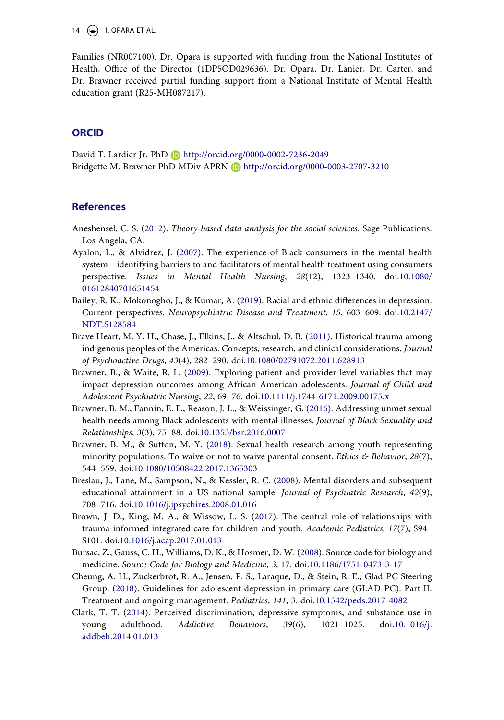14  $\left(\bigstar\right)$  I. OPARA ET AL.

Families (NR007100). Dr. Opara is supported with funding from the National Institutes of Health, Office of the Director (1DP5OD029636). Dr. Opara, Dr. Lanier, Dr. Carter, and Dr. Brawner received partial funding support from a National Institute of Mental Health education grant (R25-MH087217).

# **ORCID**

David T. Lardier Jr. PhD D http://orcid.org/0000-0002-7236-2049 Bridgette M. Brawner PhD MDiv APRN D http://orcid.org/0000-0003-2707-3210

# **References**

- <span id="page-14-5"></span>Aneshensel, C. S. ([2012\)](#page-5-0). *Theory-based data analysis for the social sciences*. Sage Publications: Los Angela, CA.
- <span id="page-14-1"></span>Ayalon, L., & Alvidrez, J. [\(2007\)](#page-2-0). The experience of Black consumers in the mental health system—identifying barriers to and facilitators of mental health treatment using consumers perspective. *Issues in Mental Health Nursing*, *28*(12), 1323–1340. doi:[10.1080/](https://doi.org/10.1080/01612840701651454)  [01612840701651454](https://doi.org/10.1080/01612840701651454)
- <span id="page-14-7"></span>Bailey, R. K., Mokonogho, J., & Kumar, A. [\(2019](#page-10-0)). Racial and ethnic differences in depression: Current perspectives. *Neuropsychiatric Disease and Treatment*, *15*, 603–609. doi:[10.2147/](https://doi.org/10.2147/NDT.S128584) [NDT.S128584](https://doi.org/10.2147/NDT.S128584)
- <span id="page-14-6"></span>Brave Heart, M. Y. H., Chase, J., Elkins, J., & Altschul, D. B. ([2011](#page-9-0)). Historical trauma among indigenous peoples of the Americas: Concepts, research, and clinical considerations. *Journal of Psychoactive Drugs*, *43*(4), 282–290. doi:[10.1080/02791072.2011.628913](https://doi.org/10.1080/02791072.2011.628913)
- <span id="page-14-11"></span>Brawner, B., & Waite, R. L. [\(2009\)](#page-13-0). Exploring patient and provider level variables that may impact depression outcomes among African American adolescents. *Journal of Child and Adolescent Psychiatric Nursing*, *22*, 69–76. doi:[10.1111/j.1744-6171.2009.00175.x](https://doi.org/10.1111/j.1744-6171.2009.00175.x)
- <span id="page-14-2"></span>Brawner, B. M., Fannin, E. F., Reason, J. L., & Weissinger, G. [\(2016\)](#page-3-0). Addressing unmet sexual health needs among Black adolescents with mental illnesses. *Journal of Black Sexuality and Relationships*, *3*(3), 75–88. doi:[10.1353/bsr.2016.0007](https://doi.org/10.1353/bsr.2016.0007)
- <span id="page-14-3"></span>Brawner, B. M., & Sutton, M. Y. [\(2018\)](#page-4-0). Sexual health research among youth representing minority populations: To waive or not to waive parental consent. *Ethics & Behavior*, *28*(7), 544–559. doi:[10.1080/10508422.2017.1365303](https://doi.org/10.1080/10508422.2017.1365303)
- <span id="page-14-0"></span>Breslau, J., Lane, M., Sampson, N., & Kessler, R. C. ([2008](#page-2-1)). Mental disorders and subsequent educational attainment in a US national sample. *Journal of Psychiatric Research*, *42*(9), 708–716. doi:[10.1016/j.jpsychires.2008.01.016](https://doi.org/10.1016/j.jpsychires.2008.01.016)
- <span id="page-14-10"></span>Brown, J. D., King, M. A., & Wissow, L. S. ([2017\)](#page-12-0). The central role of relationships with trauma-informed integrated care for children and youth. *Academic Pediatrics*, *17*(7), S94– S101. doi:[10.1016/j.acap.2017.01.013](https://doi.org/10.1016/j.acap.2017.01.013)
- <span id="page-14-4"></span>Bursac, Z., Gauss, C. H., Williams, D. K., & Hosmer, D. W. [\(2008\)](#page-5-1). Source code for biology and medicine. *Source Code for Biology and Medicine*, *3*, 17. doi:[10.1186/1751-0473-3-17](https://doi.org/10.1186/1751-0473-3-17)
- <span id="page-14-9"></span>Cheung, A. H., Zuckerbrot, R. A., Jensen, P. S., Laraque, D., & Stein, R. E.; Glad-PC Steering Group. ([2018\)](#page-11-0). Guidelines for adolescent depression in primary care (GLAD-PC): Part II. Treatment and ongoing management. *Pediatrics*, *141*, 3. doi:[10.1542/peds.2017-4082](https://doi.org/10.1542/peds.2017-4082)
- <span id="page-14-8"></span>Clark, T. T. ([2014\)](#page-10-1). Perceived discrimination, depressive symptoms, and substance use in young adulthood. *Addictive Behaviors*, *39*(6), 1021–1025. doi:[10.1016/j.](https://doi.org/10.1016/j.addbeh.2014.01.013) [addbeh.2014.01.013](https://doi.org/10.1016/j.addbeh.2014.01.013)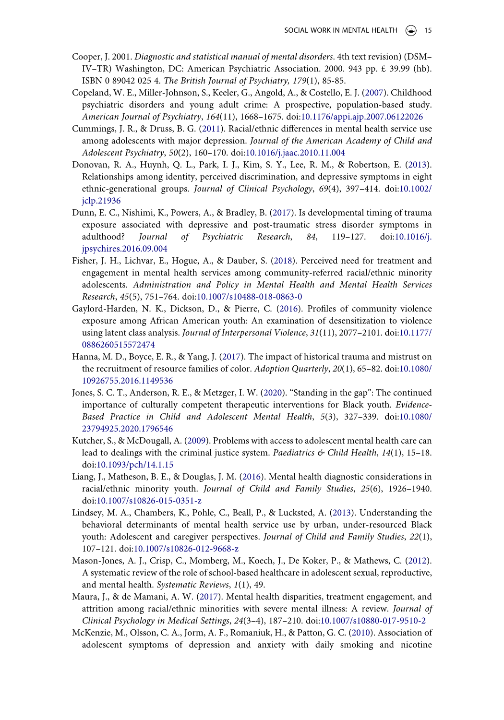- Cooper, J. 2001. *Diagnostic and statistical manual of mental disorders*. 4th text revision) (DSM– IV–TR) Washington, DC: American Psychiatric Association. 2000. 943 pp. £ 39.99 (hb). ISBN 0 89042 025 4. *The British Journal of Psychiatry, 179*(1), 85-85.
- <span id="page-15-2"></span>Copeland, W. E., Miller-Johnson, S., Keeler, G., Angold, A., & Costello, E. J. [\(2007](#page-2-2)). Childhood psychiatric disorders and young adult crime: A prospective, population-based study. *American Journal of Psychiatry*, *164*(11), 1668–1675. doi:[10.1176/appi.ajp.2007.06122026](https://doi.org/10.1176/appi.ajp.2007.06122026)
- <span id="page-15-6"></span>Cummings, J. R., & Druss, B. G. [\(2011](#page-2-3)). Racial/ethnic differences in mental health service use among adolescents with major depression. *Journal of the American Academy of Child and Adolescent Psychiatry*, *50*(2), 160–170. doi:[10.1016/j.jaac.2010.11.004](https://doi.org/10.1016/j.jaac.2010.11.004)
- <span id="page-15-9"></span>Donovan, R. A., Huynh, Q. L., Park, I. J., Kim, S. Y., Lee, R. M., & Robertson, E. [\(2013\)](#page-9-0). Relationships among identity, perceived discrimination, and depressive symptoms in eight ethnic-generational groups. *Journal of Clinical Psychology*, *69*(4), 397–414. doi:[10.1002/](https://doi.org/10.1002/jclp.21936)  [jclp.21936](https://doi.org/10.1002/jclp.21936)
- <span id="page-15-11"></span>Dunn, E. C., Nishimi, K., Powers, A., & Bradley, B. ([2017\)](#page-10-2). Is developmental timing of trauma exposure associated with depressive and post-traumatic stress disorder symptoms in adulthood? *Journal of Psychiatric Research*, *84*, 119–127. doi:[10.1016/j.](https://doi.org/10.1016/j.jpsychires.2016.09.004)  [jpsychires.2016.09.004](https://doi.org/10.1016/j.jpsychires.2016.09.004)
- <span id="page-15-12"></span>Fisher, J. H., Lichvar, E., Hogue, A., & Dauber, S. ([2018](#page-11-1)). Perceived need for treatment and engagement in mental health services among community-referred racial/ethnic minority adolescents. *Administration and Policy in Mental Health and Mental Health Services Research*, *45*(5), 751–764. doi:[10.1007/s10488-018-0863-0](https://doi.org/10.1007/s10488-018-0863-0)
- <span id="page-15-5"></span>Gaylord-Harden, N. K., Dickson, D., & Pierre, C. ([2016\)](#page-2-4). Profiles of community violence exposure among African American youth: An examination of desensitization to violence using latent class analysis. *Journal of Interpersonal Violence*, *31*(11), 2077–2101. doi:[10.1177/](https://doi.org/10.1177/0886260515572474) [0886260515572474](https://doi.org/10.1177/0886260515572474)
- <span id="page-15-10"></span>Hanna, M. D., Boyce, E. R., & Yang, J. [\(2017\)](#page-9-1). The impact of historical trauma and mistrust on the recruitment of resource families of color. *Adoption Quarterly*, *20*(1), 65–82. doi:[10.1080/](https://doi.org/10.1080/10926755.2016.1149536) [10926755.2016.1149536](https://doi.org/10.1080/10926755.2016.1149536)
- <span id="page-15-8"></span>Jones, S. C. T., Anderson, R. E., & Metzger, I. W. ([2020\)](#page-3-1). "Standing in the gap": The continued importance of culturally competent therapeutic interventions for Black youth. *Evidence-Based Practice in Child and Adolescent Mental Health*, *5*(3), 327–339. doi:[10.1080/](https://doi.org/10.1080/23794925.2020.1796546)  [23794925.2020.1796546](https://doi.org/10.1080/23794925.2020.1796546)
- <span id="page-15-3"></span>Kutcher, S., & McDougall, A. [\(2009\)](#page-2-5). Problems with access to adolescent mental health care can lead to dealings with the criminal justice system. *Paediatrics & Child Health*, *14*(1), 15–18. doi:[10.1093/pch/14.1.15](https://doi.org/10.1093/pch/14.1.15)
- <span id="page-15-0"></span>Liang, J., Matheson, B. E., & Douglas, J. M. [\(2016\)](#page-1-4). Mental health diagnostic considerations in racial/ethnic minority youth. *Journal of Child and Family Studies*, *25*(6), 1926–1940. doi:[10.1007/s10826-015-0351-z](https://doi.org/10.1007/s10826-015-0351-z)
- <span id="page-15-1"></span>Lindsey, M. A., Chambers, K., Pohle, C., Beall, P., & Lucksted, A. ([2013\)](#page-2-6). Understanding the behavioral determinants of mental health service use by urban, under-resourced Black youth: Adolescent and caregiver perspectives. *Journal of Child and Family Studies*, *22*(1), 107–121. doi:[10.1007/s10826-012-9668-z](https://doi.org/10.1007/s10826-012-9668-z)
- <span id="page-15-13"></span>Mason-Jones, A. J., Crisp, C., Momberg, M., Koech, J., De Koker, P., & Mathews, C. [\(2012\)](#page-11-1). A systematic review of the role of school-based healthcare in adolescent sexual, reproductive, and mental health. *Systematic Reviews*, *1*(1), 49.
- <span id="page-15-7"></span>Maura, J., & de Mamani, A. W. ([2017\)](#page-2-7). Mental health disparities, treatment engagement, and attrition among racial/ethnic minorities with severe mental illness: A review. *Journal of Clinical Psychology in Medical Settings*, *24*(3–4), 187–210. doi:[10.1007/s10880-017-9510-2](https://doi.org/10.1007/s10880-017-9510-2)
- <span id="page-15-4"></span>McKenzie, M., Olsson, C. A., Jorm, A. F., Romaniuk, H., & Patton, G. C. ([2010](#page-2-8)). Association of adolescent symptoms of depression and anxiety with daily smoking and nicotine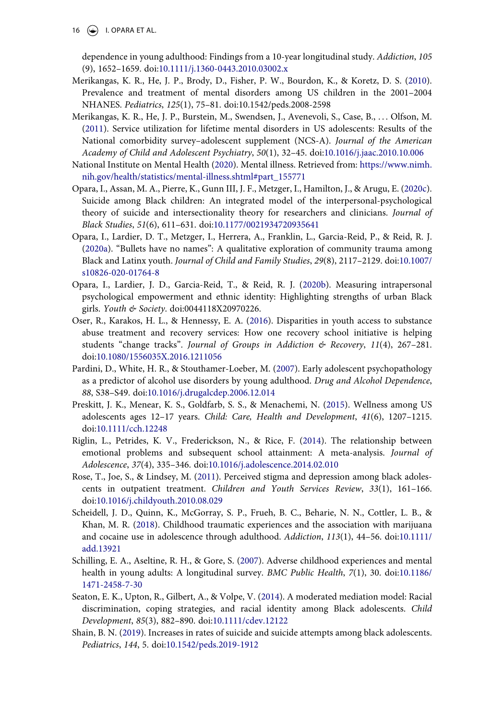16  $\left(\bigcirc \right)$  I. OPARA ET AL.

dependence in young adulthood: Findings from a 10-year longitudinal study. *Addiction*, *105*  (9), 1652–1659. doi:[10.1111/j.1360-0443.2010.03002.x](https://doi.org/10.1111/j.1360-0443.2010.03002.x)

- <span id="page-16-1"></span>Merikangas, K. R., He, J. P., Brody, D., Fisher, P. W., Bourdon, K., & Koretz, D. S. [\(2010\)](#page-1-5). Prevalence and treatment of mental disorders among US children in the 2001–2004 NHANES. *Pediatrics*, *125*(1), 75–81. doi:10.1542/peds.2008-2598
- <span id="page-16-8"></span>Merikangas, K. R., He, J. P., Burstein, M., Swendsen, J., Avenevoli, S., Case, B., . . . Olfson, M. [\(2011\)](#page-2-9). Service utilization for lifetime mental disorders in US adolescents: Results of the National comorbidity survey–adolescent supplement (NCS-A). *Journal of the American Academy of Child and Adolescent Psychiatry*, *50*(1), 32–45. doi:[10.1016/j.jaac.2010.10.006](https://doi.org/10.1016/j.jaac.2010.10.006)
- <span id="page-16-0"></span>National Institute on Mental Health ([2020\)](#page-1-6). Mental illness. Retrieved from: [https://www.nimh.](https://www.nimh.nih.gov/health/statistics/mental-illness.shtml#part_155771) [nih.gov/health/statistics/mental-illness.shtml#part\\_155771](https://www.nimh.nih.gov/health/statistics/mental-illness.shtml#part_155771)
- <span id="page-16-12"></span>Opara, I., Assan, M. A., Pierre, K., Gunn III, J. F., Metzger, I., Hamilton, J., & Arugu, E. [\(2020c\)](#page-10-3). Suicide among Black children: An integrated model of the interpersonal-psychological theory of suicide and intersectionality theory for researchers and clinicians. *Journal of Black Studies*, *51*(6), 611–631. doi:[10.1177/0021934720935641](https://doi.org/10.1177/0021934720935641)
- <span id="page-16-7"></span>Opara, I., Lardier, D. T., Metzger, I., Herrera, A., Franklin, L., Garcia-Reid, P., & Reid, R. J. [\(2020a\)](#page-2-4). "Bullets have no names": A qualitative exploration of community trauma among Black and Latinx youth. *Journal of Child and Family Studies*, *29*(8), 2117–2129. doi:[10.1007/](https://doi.org/10.1007/s10826-020-01764-8) [s10826-020-01764-8](https://doi.org/10.1007/s10826-020-01764-8)
- <span id="page-16-10"></span>Opara, I., Lardier, J. D., Garcia-Reid, T., & Reid, R. J. ([2020b\)](#page-3-1). Measuring intrapersonal psychological empowerment and ethnic identity: Highlighting strengths of urban Black girls. *Youth & Society*. doi:0044118X20970226.
- <span id="page-16-11"></span>Oser, R., Karakos, H. L., & Hennessy, E. A. ([2016\)](#page-10-4). Disparities in youth access to substance abuse treatment and recovery services: How one recovery school initiative is helping students "change tracks". *Journal of Groups in Addiction & Recovery*, *11*(4), 267–281. doi:[10.1080/1556035X.2016.1211056](https://doi.org/10.1080/1556035X.2016.1211056)
- <span id="page-16-6"></span>Pardini, D., White, H. R., & Stouthamer-Loeber, M. [\(2007\)](#page-2-10). Early adolescent psychopathology as a predictor of alcohol use disorders by young adulthood. *Drug and Alcohol Dependence*, *88*, S38–S49. doi:[10.1016/j.drugalcdep.2006.12.014](https://doi.org/10.1016/j.drugalcdep.2006.12.014)
- <span id="page-16-14"></span>Preskitt, J. K., Menear, K. S., Goldfarb, S. S., & Menachemi, N. [\(2015\)](#page-12-1). Wellness among US adolescents ages 12–17 years. *Child: Care, Health and Development*, *41*(6), 1207–1215. doi:[10.1111/cch.12248](https://doi.org/10.1111/cch.12248)
- <span id="page-16-4"></span>Riglin, L., Petrides, K. V., Frederickson, N., & Rice, F. ([2014](#page-2-11)). The relationship between emotional problems and subsequent school attainment: A meta-analysis. *Journal of Adolescence*, *37*(4), 335–346. doi:[10.1016/j.adolescence.2014.02.010](https://doi.org/10.1016/j.adolescence.2014.02.010)
- <span id="page-16-9"></span>Rose, T., Joe, S., & Lindsey, M. [\(2011\)](#page-2-12). Perceived stigma and depression among black adolescents in outpatient treatment. *Children and Youth Services Review*, *33*(1), 161–166. doi:[10.1016/j.childyouth.2010.08.029](https://doi.org/10.1016/j.childyouth.2010.08.029)
- <span id="page-16-13"></span>Scheidell, J. D., Quinn, K., McGorray, S. P., Frueh, B. C., Beharie, N. N., Cottler, L. B., & Khan, M. R. [\(2018\)](#page-11-2). Childhood traumatic experiences and the association with marijuana and cocaine use in adolescence through adulthood. *Addiction*, *113*(1), 44–56. doi:[10.1111/](https://doi.org/10.1111/add.13921) [add.13921](https://doi.org/10.1111/add.13921)
- <span id="page-16-2"></span>Schilling, E. A., Aseltine, R. H., & Gore, S. [\(2007](#page-2-13)). Adverse childhood experiences and mental health in young adults: A longitudinal survey. *BMC Public Health*, *7*(1), 30. doi:[10.1186/](https://doi.org/10.1186/1471-2458-7-30) [1471-2458-7-30](https://doi.org/10.1186/1471-2458-7-30)
- <span id="page-16-3"></span>Seaton, E. K., Upton, R., Gilbert, A., & Volpe, V. [\(2014](#page-2-5)). A moderated mediation model: Racial discrimination, coping strategies, and racial identity among Black adolescents. *Child Development*, *85*(3), 882–890. doi:[10.1111/cdev.12122](https://doi.org/10.1111/cdev.12122)
- <span id="page-16-5"></span>Shain, B. N. [\(2019\)](#page-2-11). Increases in rates of suicide and suicide attempts among black adolescents. *Pediatrics*, *144*, 5. doi:[10.1542/peds.2019-1912](https://doi.org/10.1542/peds.2019-1912)